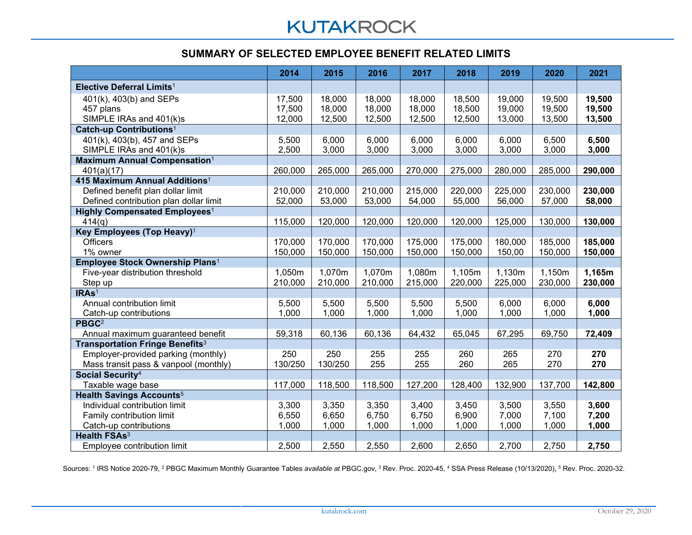## **KUTAKROCK**

## **SUMMARY OF SELECTED EMPLOYEE BENEFIT RELATED LIMITS**

|                                                   | 2014    | 2015    | 2016    | 2017    | 2018    | 2019    | 2020    | 2021    |
|---------------------------------------------------|---------|---------|---------|---------|---------|---------|---------|---------|
| Elective Deferral Limits <sup>1</sup>             |         |         |         |         |         |         |         |         |
| 401(k), 403(b) and SEPs                           | 17,500  | 18,000  | 18,000  | 18,000  | 18,500  | 19,000  | 19,500  | 19,500  |
| 457 plans                                         | 17,500  | 18,000  | 18,000  | 18,000  | 18,500  | 19,000  | 19,500  | 19,500  |
| SIMPLE IRAs and 401(k)s                           | 12,000  | 12,500  | 12,500  | 12,500  | 12,500  | 13,000  | 13,500  | 13,500  |
| Catch-up Contributions <sup>1</sup>               |         |         |         |         |         |         |         |         |
| 401(k), 403(b), 457 and SEPs                      | 5,500   | 6,000   | 6,000   | 6,000   | 6,000   | 6,000   | 6,500   | 6,500   |
| SIMPLE IRAs and 401(k)s                           | 2,500   | 3,000   | 3,000   | 3,000   | 3,000   | 3,000   | 3,000   | 3,000   |
| <b>Maximum Annual Compensation1</b>               |         |         |         |         |         |         |         |         |
| 401(a)(17)                                        | 260,000 | 265,000 | 265,000 | 270,000 | 275,000 | 280,000 | 285,000 | 290,000 |
| 415 Maximum Annual Additions <sup>1</sup>         |         |         |         |         |         |         |         |         |
| Defined benefit plan dollar limit                 | 210,000 | 210,000 | 210,000 | 215,000 | 220,000 | 225,000 | 230,000 | 230,000 |
| Defined contribution plan dollar limit            | 52,000  | 53,000  | 53,000  | 54,000  | 55,000  | 56,000  | 57,000  | 58,000  |
| <b>Highly Compensated Employees<sup>1</sup></b>   |         |         |         |         |         |         |         |         |
| 414(q)                                            | 115,000 | 120,000 | 120,000 | 120,000 | 120,000 | 125,000 | 130,000 | 130,000 |
| Key Employees (Top Heavy) <sup>1</sup>            |         |         |         |         |         |         |         |         |
| <b>Officers</b>                                   | 170,000 | 170,000 | 170,000 | 175,000 | 175,000 | 180,000 | 185,000 | 185,000 |
| 1% owner                                          | 150,000 | 150,000 | 150,000 | 150,000 | 150,000 | 150,00  | 150,000 | 150,000 |
| Employee Stock Ownership Plans <sup>1</sup>       |         |         |         |         |         |         |         |         |
| Five-year distribution threshold                  | 1,050m  | 1,070m  | 1,070m  | 1,080m  | 1,105m  | 1,130m  | 1,150m  | 1,165m  |
| Step up                                           | 210,000 | 210,000 | 210,000 | 215,000 | 220,000 | 225,000 | 230,000 | 230,000 |
| IRA <sub>s<sup>1</sup></sub>                      |         |         |         |         |         |         |         |         |
| Annual contribution limit                         | 5,500   | 5,500   | 5,500   | 5,500   | 5,500   | 6,000   | 6,000   | 6,000   |
| Catch-up contributions                            | 1,000   | 1,000   | 1,000   | 1,000   | 1,000   | 1,000   | 1,000   | 1,000   |
| PBGC <sup>2</sup>                                 |         |         |         |         |         |         |         |         |
| Annual maximum guaranteed benefit                 | 59,318  | 60,136  | 60,136  | 64,432  | 65,045  | 67,295  | 69,750  | 72,409  |
| <b>Transportation Fringe Benefits<sup>3</sup></b> |         |         |         |         |         |         |         |         |
| Employer-provided parking (monthly)               | 250     | 250     | 255     | 255     | 260     | 265     | 270     | 270     |
| Mass transit pass & vanpool (monthly)             | 130/250 | 130/250 | 255     | 255     | 260     | 265     | 270     | 270     |
| Social Security <sup>4</sup>                      |         |         |         |         |         |         |         |         |
| Taxable wage base                                 | 117,000 | 118,500 | 118,500 | 127,200 | 128,400 | 132,900 | 137,700 | 142,800 |
| <b>Health Savings Accounts<sup>5</sup></b>        |         |         |         |         |         |         |         |         |
| Individual contribution limit                     | 3,300   | 3,350   | 3,350   | 3,400   | 3,450   | 3,500   | 3,550   | 3,600   |
| Family contribution limit                         | 6,550   | 6,650   | 6,750   | 6,750   | 6,900   | 7,000   | 7,100   | 7,200   |
| Catch-up contributions                            | 1,000   | 1,000   | 1,000   | 1,000   | 1,000   | 1,000   | 1,000   | 1,000   |
| <b>Health FSAs<sup>3</sup></b>                    |         |         |         |         |         |         |         |         |
| Employee contribution limit                       | 2,500   | 2,550   | 2,550   | 2,600   | 2,650   | 2,700   | 2,750   | 2,750   |

Sources: 1 IRS Notice 2020-79, 2 PBGC Maximum Monthly Guarantee Tables *available at* PBGC.gov, 3 Rev. Proc. 2020-45, 4 SSA Press Release (10/13/2020), <sup>5</sup> Rev. Proc. 2020-32.